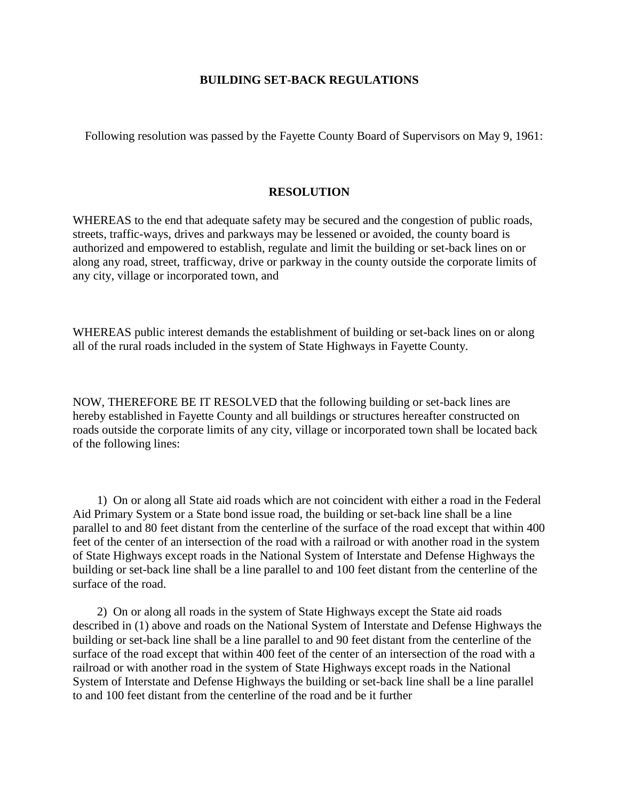## **BUILDING SET-BACK REGULATIONS**

Following resolution was passed by the Fayette County Board of Supervisors on May 9, 1961:

## **RESOLUTION**

WHEREAS to the end that adequate safety may be secured and the congestion of public roads, streets, traffic-ways, drives and parkways may be lessened or avoided, the county board is authorized and empowered to establish, regulate and limit the building or set-back lines on or along any road, street, trafficway, drive or parkway in the county outside the corporate limits of any city, village or incorporated town, and

WHEREAS public interest demands the establishment of building or set-back lines on or along all of the rural roads included in the system of State Highways in Fayette County.

NOW, THEREFORE BE IT RESOLVED that the following building or set-back lines are hereby established in Fayette County and all buildings or structures hereafter constructed on roads outside the corporate limits of any city, village or incorporated town shall be located back of the following lines:

1) On or along all State aid roads which are not coincident with either a road in the Federal Aid Primary System or a State bond issue road, the building or set-back line shall be a line parallel to and 80 feet distant from the centerline of the surface of the road except that within 400 feet of the center of an intersection of the road with a railroad or with another road in the system of State Highways except roads in the National System of Interstate and Defense Highways the building or set-back line shall be a line parallel to and 100 feet distant from the centerline of the surface of the road.

2) On or along all roads in the system of State Highways except the State aid roads described in (1) above and roads on the National System of Interstate and Defense Highways the building or set-back line shall be a line parallel to and 90 feet distant from the centerline of the surface of the road except that within 400 feet of the center of an intersection of the road with a railroad or with another road in the system of State Highways except roads in the National System of Interstate and Defense Highways the building or set-back line shall be a line parallel to and 100 feet distant from the centerline of the road and be it further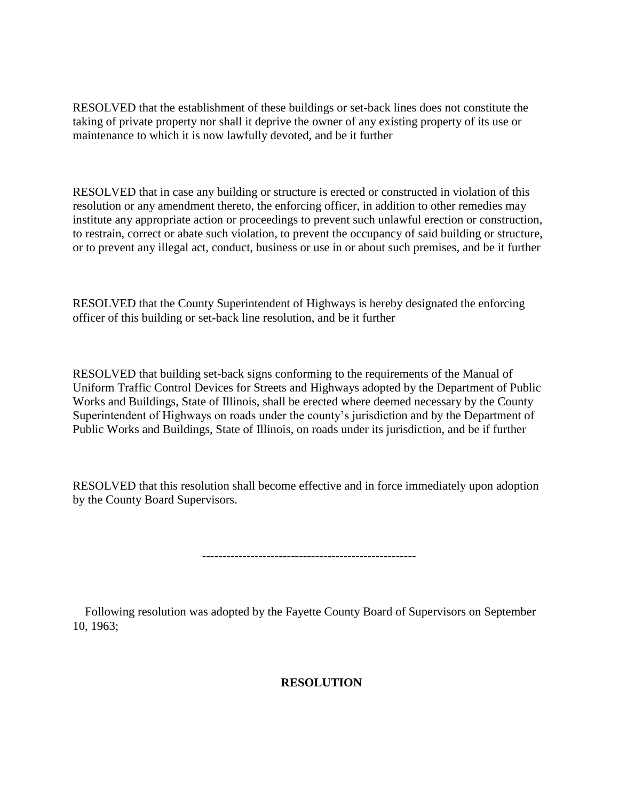RESOLVED that the establishment of these buildings or set-back lines does not constitute the taking of private property nor shall it deprive the owner of any existing property of its use or maintenance to which it is now lawfully devoted, and be it further

RESOLVED that in case any building or structure is erected or constructed in violation of this resolution or any amendment thereto, the enforcing officer, in addition to other remedies may institute any appropriate action or proceedings to prevent such unlawful erection or construction, to restrain, correct or abate such violation, to prevent the occupancy of said building or structure, or to prevent any illegal act, conduct, business or use in or about such premises, and be it further

RESOLVED that the County Superintendent of Highways is hereby designated the enforcing officer of this building or set-back line resolution, and be it further

RESOLVED that building set-back signs conforming to the requirements of the Manual of Uniform Traffic Control Devices for Streets and Highways adopted by the Department of Public Works and Buildings, State of Illinois, shall be erected where deemed necessary by the County Superintendent of Highways on roads under the county's jurisdiction and by the Department of Public Works and Buildings, State of Illinois, on roads under its jurisdiction, and be if further

RESOLVED that this resolution shall become effective and in force immediately upon adoption by the County Board Supervisors.

-----------------------------------------------------

Following resolution was adopted by the Fayette County Board of Supervisors on September 10, 1963;

## **RESOLUTION**